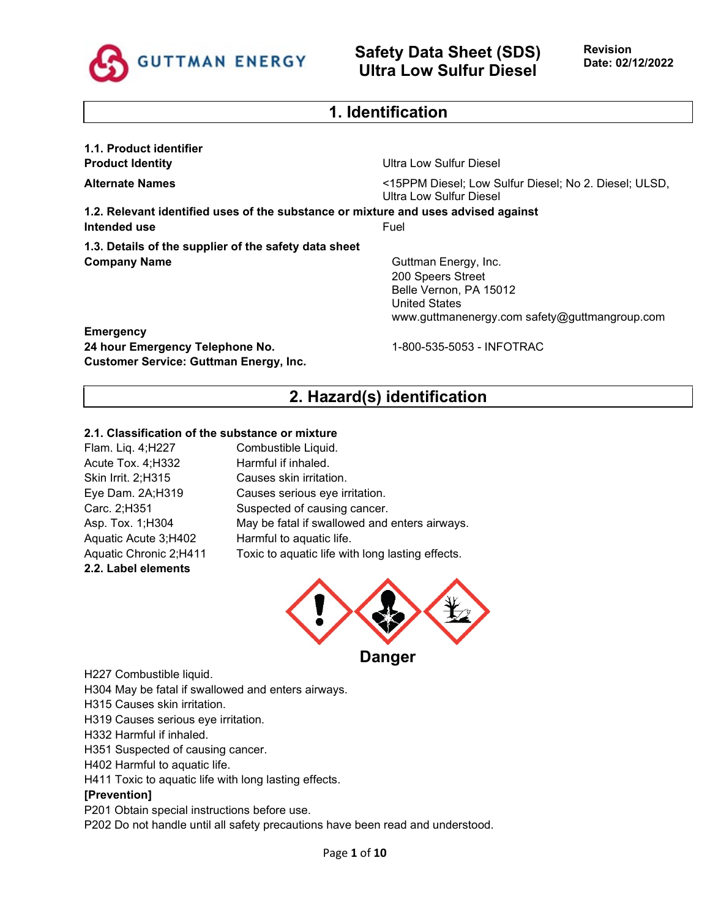

### **1. Identification**

**1.1. Product identifier**

**Product Identity Product Identity Product Identity Product Identity Product Identity Product Identity Product Identity Product Identity Product Identity Product Identity Product Identity Product Iden** 

**Alternate Names** <15PPM Diesel; Low Sulfur Diesel; No 2. Diesel; ULSD, Ultra Low Sulfur Diesel

**1.2. Relevant identified uses of the substance or mixture and uses advised against Intended use** Fuel

**1.3. Details of the supplier of the safety data sheet Company Name** Guttman Energy, Inc.

200 Speers Street Belle Vernon, PA 15012 United States www.guttmanenergy.com safety@guttmangroup.com

**Emergency 24 hour Emergency Telephone No.** 1-800-535-5053 - INFOTRAC **Customer Service: Guttman Energy, Inc.**

# **2. Hazard(s) identification**

#### **2.1. Classification of the substance or mixture**

| Flam. Liq. 4;H227      | Combustible Liquid.                              |
|------------------------|--------------------------------------------------|
| Acute Tox. 4; H332     | Harmful if inhaled.                              |
| Skin Irrit. 2;H315     | Causes skin irritation.                          |
| Eye Dam. 2A;H319       | Causes serious eye irritation.                   |
| Carc. 2;H351           | Suspected of causing cancer.                     |
| Asp. Tox. 1;H304       | May be fatal if swallowed and enters airways.    |
| Aquatic Acute 3;H402   | Harmful to aquatic life.                         |
| Aquatic Chronic 2;H411 | Toxic to aquatic life with long lasting effects. |
| 2.2. Label elements    |                                                  |



H227 Combustible liquid.

H304 May be fatal if swallowed and enters airways.

H315 Causes skin irritation.

H319 Causes serious eye irritation.

H332 Harmful if inhaled.

H351 Suspected of causing cancer.

H402 Harmful to aquatic life.

H411 Toxic to aquatic life with long lasting effects.

#### **[Prevention]**

P201 Obtain special instructions before use.

P202 Do not handle until all safety precautions have been read and understood.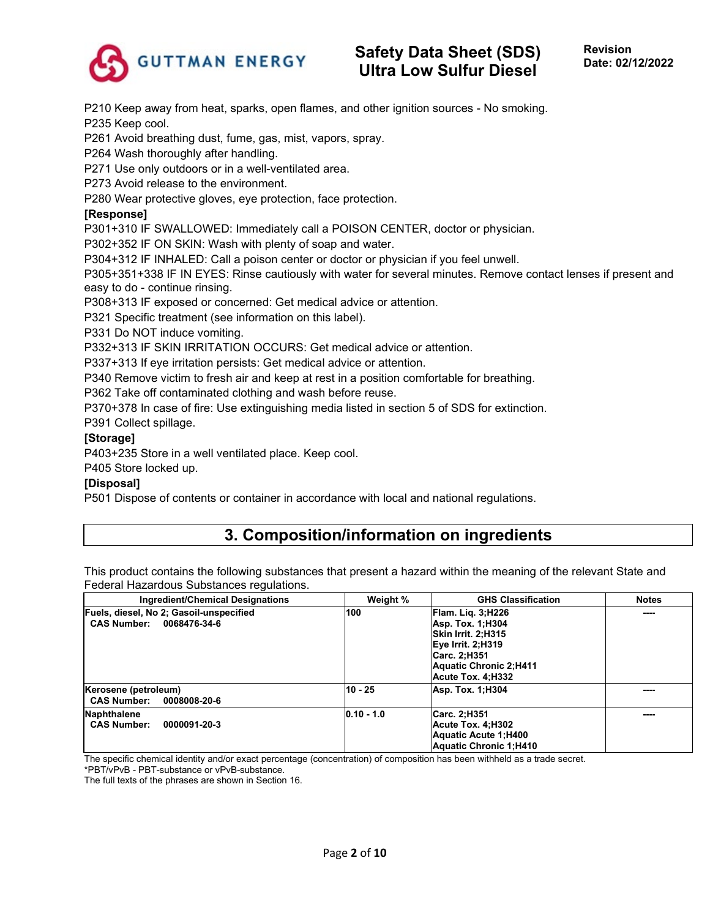

P210 Keep away from heat, sparks, open flames, and other ignition sources - No smoking. P235 Keep cool.

P261 Avoid breathing dust, fume, gas, mist, vapors, spray.

P264 Wash thoroughly after handling.

P271 Use only outdoors or in a well-ventilated area.

P273 Avoid release to the environment.

P280 Wear protective gloves, eye protection, face protection.

#### **[Response]**

P301+310 IF SWALLOWED: Immediately call a POISON CENTER, doctor or physician.

P302+352 IF ON SKIN: Wash with plenty of soap and water.

P304+312 IF INHALED: Call a poison center or doctor or physician if you feel unwell.

P305+351+338 IF IN EYES: Rinse cautiously with water for several minutes. Remove contact lenses if present and easy to do - continue rinsing.

P308+313 IF exposed or concerned: Get medical advice or attention.

P321 Specific treatment (see information on this label).

P331 Do NOT induce vomiting.

P332+313 IF SKIN IRRITATION OCCURS: Get medical advice or attention.

P337+313 If eye irritation persists: Get medical advice or attention.

P340 Remove victim to fresh air and keep at rest in a position comfortable for breathing.

P362 Take off contaminated clothing and wash before reuse.

P370+378 In case of fire: Use extinguishing media listed in section 5 of SDS for extinction.

P391 Collect spillage.

#### **[Storage]**

P403+235 Store in a well ventilated place. Keep cool.

P405 Store locked up.

#### **[Disposal]**

P501 Dispose of contents or container in accordance with local and national regulations.

# **3. Composition/information on ingredients**

This product contains the following substances that present a hazard within the meaning of the relevant State and Federal Hazardous Substances regulations.

| <b>Ingredient/Chemical Designations</b>                                       | Weight %     | <b>GHS Classification</b>                                                                                                                                             | <b>Notes</b> |
|-------------------------------------------------------------------------------|--------------|-----------------------------------------------------------------------------------------------------------------------------------------------------------------------|--------------|
| Fuels, diesel, No 2; Gasoil-unspecified<br><b>CAS Number:</b><br>0068476-34-6 | 100          | <b>Flam. Lig. 3; H226</b><br><b>Asp. Tox. 1:H304</b><br>Skin Irrit. 2:H315<br>Eye Irrit. 2:H319<br>Carc. 2:H351<br><b>Aquatic Chronic 2:H411</b><br>Acute Tox. 4:H332 | ----         |
| Kerosene (petroleum)<br><b>CAS Number:</b><br>0008008-20-6                    | $10 - 25$    | <b>Asp. Tox. 1:H304</b>                                                                                                                                               | ----         |
| Naphthalene<br><b>CAS Number:</b><br>0000091-20-3                             | $0.10 - 1.0$ | Carc. 2;H351<br>Acute Tox. 4:H302<br>Aquatic Acute 1:H400<br><b>Aquatic Chronic 1:H410</b>                                                                            | ----         |

The specific chemical identity and/or exact percentage (concentration) of composition has been withheld as a trade secret.

\*PBT/vPvB - PBT-substance or vPvB-substance.

The full texts of the phrases are shown in Section 16.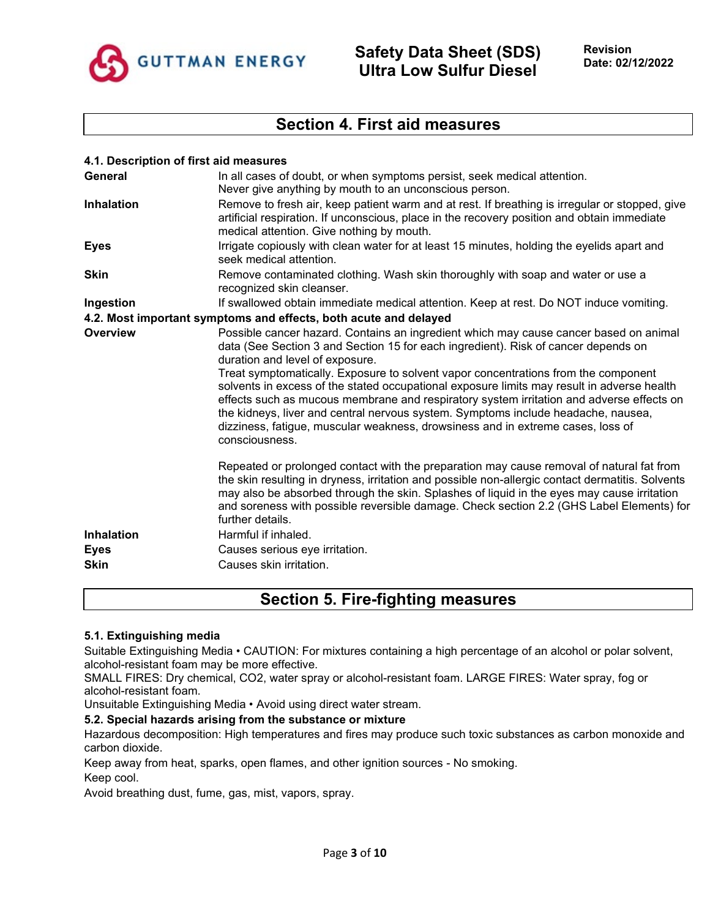

### **Section 4. First aid measures**

| 4.1. Description of first aid measures                                                                                                                                                                                                                                                                                                                                                                                                                                                                                                                                                                                                                                                   |
|------------------------------------------------------------------------------------------------------------------------------------------------------------------------------------------------------------------------------------------------------------------------------------------------------------------------------------------------------------------------------------------------------------------------------------------------------------------------------------------------------------------------------------------------------------------------------------------------------------------------------------------------------------------------------------------|
| In all cases of doubt, or when symptoms persist, seek medical attention.                                                                                                                                                                                                                                                                                                                                                                                                                                                                                                                                                                                                                 |
| Never give anything by mouth to an unconscious person.                                                                                                                                                                                                                                                                                                                                                                                                                                                                                                                                                                                                                                   |
| Remove to fresh air, keep patient warm and at rest. If breathing is irregular or stopped, give<br>artificial respiration. If unconscious, place in the recovery position and obtain immediate<br>medical attention. Give nothing by mouth.                                                                                                                                                                                                                                                                                                                                                                                                                                               |
| Irrigate copiously with clean water for at least 15 minutes, holding the eyelids apart and<br>seek medical attention.                                                                                                                                                                                                                                                                                                                                                                                                                                                                                                                                                                    |
| Remove contaminated clothing. Wash skin thoroughly with soap and water or use a<br>recognized skin cleanser.                                                                                                                                                                                                                                                                                                                                                                                                                                                                                                                                                                             |
| If swallowed obtain immediate medical attention. Keep at rest. Do NOT induce vomiting.                                                                                                                                                                                                                                                                                                                                                                                                                                                                                                                                                                                                   |
| 4.2. Most important symptoms and effects, both acute and delayed                                                                                                                                                                                                                                                                                                                                                                                                                                                                                                                                                                                                                         |
| Possible cancer hazard. Contains an ingredient which may cause cancer based on animal<br>data (See Section 3 and Section 15 for each ingredient). Risk of cancer depends on<br>duration and level of exposure.<br>Treat symptomatically. Exposure to solvent vapor concentrations from the component<br>solvents in excess of the stated occupational exposure limits may result in adverse health<br>effects such as mucous membrane and respiratory system irritation and adverse effects on<br>the kidneys, liver and central nervous system. Symptoms include headache, nausea,<br>dizziness, fatigue, muscular weakness, drowsiness and in extreme cases, loss of<br>consciousness. |
| Repeated or prolonged contact with the preparation may cause removal of natural fat from<br>the skin resulting in dryness, irritation and possible non-allergic contact dermatitis. Solvents<br>may also be absorbed through the skin. Splashes of liquid in the eyes may cause irritation<br>and soreness with possible reversible damage. Check section 2.2 (GHS Label Elements) for<br>further details.<br>Harmful if inhaled.<br>Causes serious eye irritation.<br>Causes skin irritation.                                                                                                                                                                                           |
|                                                                                                                                                                                                                                                                                                                                                                                                                                                                                                                                                                                                                                                                                          |

# **Section 5. Fire-fighting measures**

#### **5.1. Extinguishing media**

Suitable Extinguishing Media • CAUTION: For mixtures containing a high percentage of an alcohol or polar solvent, alcohol-resistant foam may be more effective.

SMALL FIRES: Dry chemical, CO2, water spray or alcohol-resistant foam. LARGE FIRES: Water spray, fog or alcohol-resistant foam.

Unsuitable Extinguishing Media • Avoid using direct water stream.

#### **5.2. Special hazards arising from the substance or mixture**

Hazardous decomposition: High temperatures and fires may produce such toxic substances as carbon monoxide and carbon dioxide.

Keep away from heat, sparks, open flames, and other ignition sources - No smoking.

Keep cool.

Avoid breathing dust, fume, gas, mist, vapors, spray.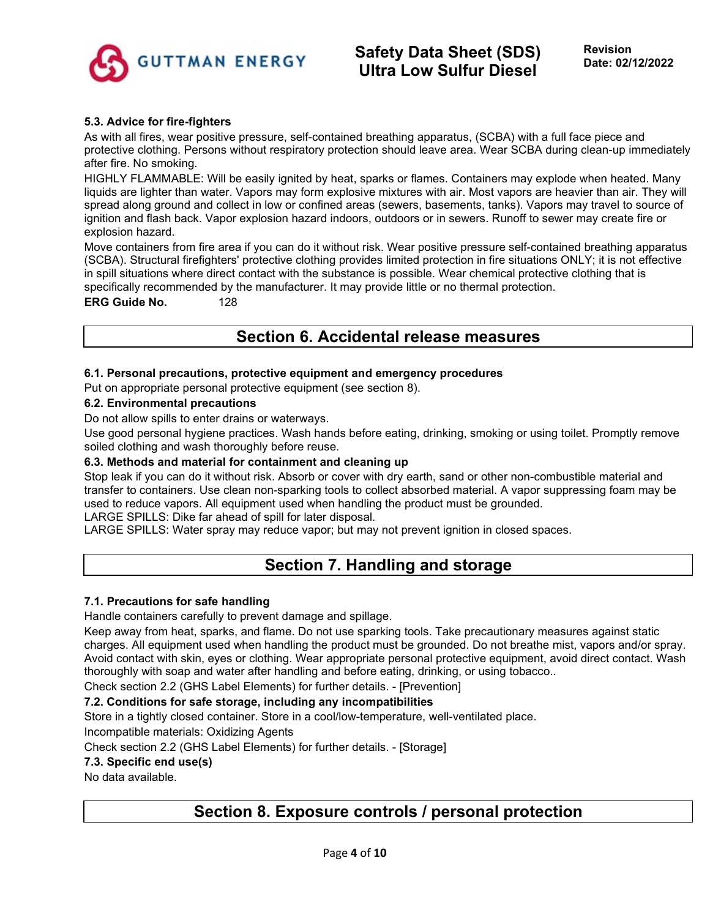

#### **5.3. Advice for fire-fighters**

As with all fires, wear positive pressure, self-contained breathing apparatus, (SCBA) with a full face piece and protective clothing. Persons without respiratory protection should leave area. Wear SCBA during clean-up immediately after fire. No smoking.

HIGHLY FLAMMABLE: Will be easily ignited by heat, sparks or flames. Containers may explode when heated. Many liquids are lighter than water. Vapors may form explosive mixtures with air. Most vapors are heavier than air. They will spread along ground and collect in low or confined areas (sewers, basements, tanks). Vapors may travel to source of ignition and flash back. Vapor explosion hazard indoors, outdoors or in sewers. Runoff to sewer may create fire or explosion hazard.

Move containers from fire area if you can do it without risk. Wear positive pressure self-contained breathing apparatus (SCBA). Structural firefighters' protective clothing provides limited protection in fire situations ONLY; it is not effective in spill situations where direct contact with the substance is possible. Wear chemical protective clothing that is specifically recommended by the manufacturer. It may provide little or no thermal protection.

#### **ERG Guide No.** 128

# **Section 6. Accidental release measures**

#### **6.1. Personal precautions, protective equipment and emergency procedures**

Put on appropriate personal protective equipment (see section 8).

#### **6.2. Environmental precautions**

Do not allow spills to enter drains or waterways.

Use good personal hygiene practices. Wash hands before eating, drinking, smoking or using toilet. Promptly remove soiled clothing and wash thoroughly before reuse.

#### **6.3. Methods and material for containment and cleaning up**

Stop leak if you can do it without risk. Absorb or cover with dry earth, sand or other non-combustible material and transfer to containers. Use clean non-sparking tools to collect absorbed material. A vapor suppressing foam may be used to reduce vapors. All equipment used when handling the product must be grounded.

LARGE SPILLS: Dike far ahead of spill for later disposal.

LARGE SPILLS: Water spray may reduce vapor; but may not prevent ignition in closed spaces.

# **Section 7. Handling and storage**

#### **7.1. Precautions for safe handling**

Handle containers carefully to prevent damage and spillage.

Keep away from heat, sparks, and flame. Do not use sparking tools. Take precautionary measures against static charges. All equipment used when handling the product must be grounded. Do not breathe mist, vapors and/or spray. Avoid contact with skin, eyes or clothing. Wear appropriate personal protective equipment, avoid direct contact. Wash thoroughly with soap and water after handling and before eating, drinking, or using tobacco..

Check section 2.2 (GHS Label Elements) for further details. - [Prevention]

#### **7.2. Conditions for safe storage, including any incompatibilities**

Store in a tightly closed container. Store in a cool/low-temperature, well-ventilated place.

Incompatible materials: Oxidizing Agents

Check section 2.2 (GHS Label Elements) for further details. - [Storage]

#### **7.3. Specific end use(s)**

No data available.

# **Section 8. Exposure controls / personal protection**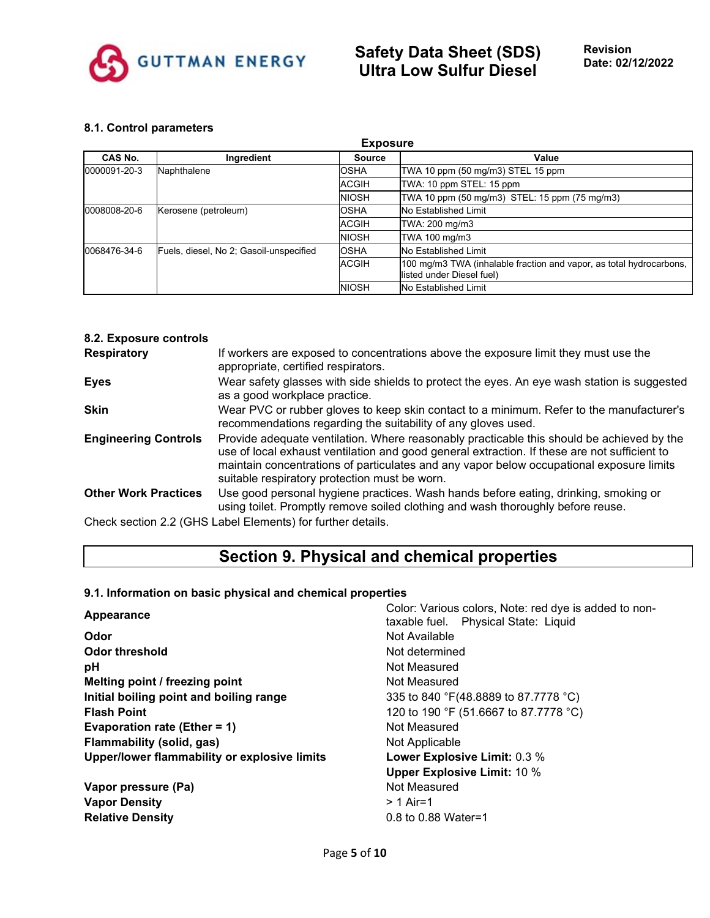

#### **8.1. Control parameters**

| <b>Exposure</b>                      |                                         |               |                                                                                                  |  |
|--------------------------------------|-----------------------------------------|---------------|--------------------------------------------------------------------------------------------------|--|
| CAS No.                              | Ingredient                              | <b>Source</b> | Value                                                                                            |  |
| 0000091-20-3                         | Naphthalene                             |               | TWA 10 ppm (50 mg/m3) STEL 15 ppm                                                                |  |
|                                      |                                         | <b>ACGIH</b>  | TWA: 10 ppm STEL: 15 ppm                                                                         |  |
|                                      |                                         | <b>NIOSH</b>  | TWA 10 ppm (50 mg/m3) STEL: 15 ppm (75 mg/m3)                                                    |  |
| 0008008-20-6<br>Kerosene (petroleum) |                                         | <b>OSHA</b>   | No Established Limit                                                                             |  |
|                                      |                                         | <b>ACGIH</b>  | TWA: 200 mg/m3                                                                                   |  |
|                                      |                                         | <b>NIOSH</b>  | TWA 100 mg/m3                                                                                    |  |
| 0068476-34-6                         | Fuels, diesel, No 2; Gasoil-unspecified | OSHA          | No Established Limit                                                                             |  |
|                                      |                                         | <b>ACGIH</b>  | 100 mg/m3 TWA (inhalable fraction and vapor, as total hydrocarbons,<br>listed under Diesel fuel) |  |
|                                      |                                         | <b>NIOSH</b>  | No Established Limit                                                                             |  |

| 8.2. Exposure controls      |                                                                                                                                                                                                                                                                                                                                        |
|-----------------------------|----------------------------------------------------------------------------------------------------------------------------------------------------------------------------------------------------------------------------------------------------------------------------------------------------------------------------------------|
| <b>Respiratory</b>          | If workers are exposed to concentrations above the exposure limit they must use the<br>appropriate, certified respirators.                                                                                                                                                                                                             |
| <b>Eyes</b>                 | Wear safety glasses with side shields to protect the eyes. An eye wash station is suggested<br>as a good workplace practice.                                                                                                                                                                                                           |
| <b>Skin</b>                 | Wear PVC or rubber gloves to keep skin contact to a minimum. Refer to the manufacturer's<br>recommendations regarding the suitability of any gloves used.                                                                                                                                                                              |
| <b>Engineering Controls</b> | Provide adequate ventilation. Where reasonably practicable this should be achieved by the<br>use of local exhaust ventilation and good general extraction. If these are not sufficient to<br>maintain concentrations of particulates and any vapor below occupational exposure limits<br>suitable respiratory protection must be worn. |
| <b>Other Work Practices</b> | Use good personal hygiene practices. Wash hands before eating, drinking, smoking or<br>using toilet. Promptly remove soiled clothing and wash thoroughly before reuse.                                                                                                                                                                 |
|                             | Check section 2.2 (GHS Label Elements) for further details.                                                                                                                                                                                                                                                                            |

# **Section 9. Physical and chemical properties**

### **9.1. Information on basic physical and chemical properties**

| Appearance                                   | Color: Various colors, Note: red dye is added to non-<br>taxable fuel. Physical State: Liquid |  |  |
|----------------------------------------------|-----------------------------------------------------------------------------------------------|--|--|
| Odor                                         | Not Available                                                                                 |  |  |
| Odor threshold                               | Not determined                                                                                |  |  |
| pH                                           | Not Measured                                                                                  |  |  |
| Melting point / freezing point               | Not Measured                                                                                  |  |  |
| Initial boiling point and boiling range      | 335 to 840 °F(48.8889 to 87.7778 °C)                                                          |  |  |
| <b>Flash Point</b>                           | 120 to 190 °F (51.6667 to 87.7778 °C)                                                         |  |  |
| Evaporation rate (Ether = 1)                 | Not Measured                                                                                  |  |  |
| <b>Flammability (solid, gas)</b>             | Not Applicable                                                                                |  |  |
| Upper/lower flammability or explosive limits | Lower Explosive Limit: 0.3 %                                                                  |  |  |
|                                              | <b>Upper Explosive Limit: 10 %</b>                                                            |  |  |
| Vapor pressure (Pa)                          | Not Measured                                                                                  |  |  |
| <b>Vapor Density</b>                         | $> 1$ Air=1                                                                                   |  |  |
| <b>Relative Density</b>                      | 0.8 to 0.88 Water=1                                                                           |  |  |
|                                              |                                                                                               |  |  |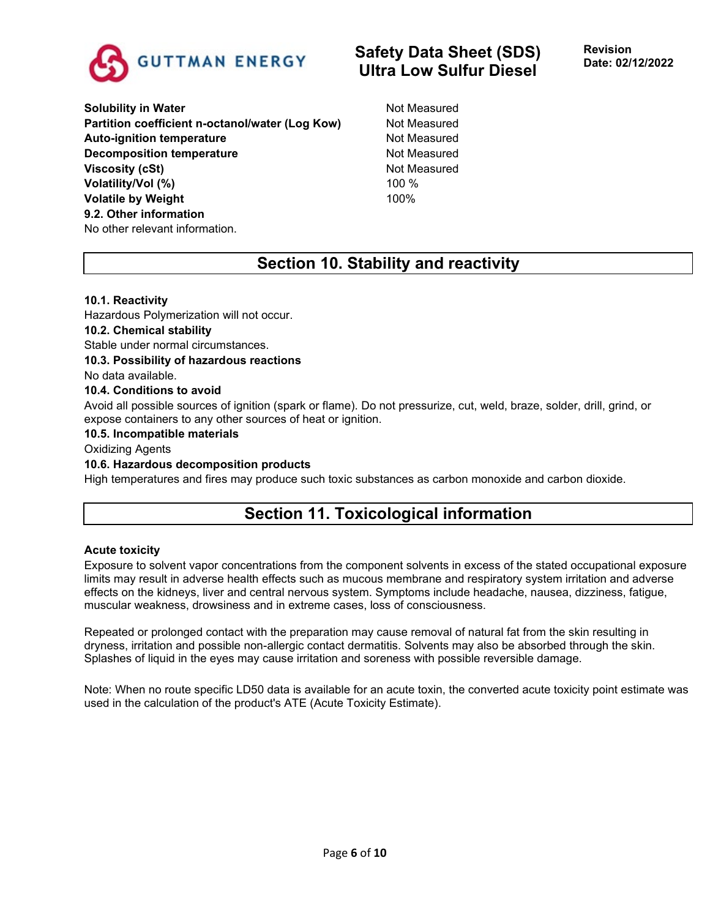

**Solubility in Water** Not Measured **Partition coefficient n-octanol/water (Log Kow)** Not Measured Auto-ignition temperature **Not Auto-ignition temperature** Not Measured **Decomposition temperature** Not Measured **Viscosity (cSt)** Not Measured **Volatility/Vol (%)** 100 % **Volatile by Weight** 100% **9.2. Other information** No other relevant information.

# **Section 10. Stability and reactivity**

#### **10.1. Reactivity**

Hazardous Polymerization will not occur.

#### **10.2. Chemical stability**

Stable under normal circumstances.

#### **10.3. Possibility of hazardous reactions**

No data available.

#### **10.4. Conditions to avoid**

Avoid all possible sources of ignition (spark or flame). Do not pressurize, cut, weld, braze, solder, drill, grind, or expose containers to any other sources of heat or ignition.

#### **10.5. Incompatible materials**

Oxidizing Agents

#### **10.6. Hazardous decomposition products**

High temperatures and fires may produce such toxic substances as carbon monoxide and carbon dioxide.

# **Section 11. Toxicological information**

#### **Acute toxicity**

Exposure to solvent vapor concentrations from the component solvents in excess of the stated occupational exposure limits may result in adverse health effects such as mucous membrane and respiratory system irritation and adverse effects on the kidneys, liver and central nervous system. Symptoms include headache, nausea, dizziness, fatigue, muscular weakness, drowsiness and in extreme cases, loss of consciousness.

Repeated or prolonged contact with the preparation may cause removal of natural fat from the skin resulting in dryness, irritation and possible non-allergic contact dermatitis. Solvents may also be absorbed through the skin. Splashes of liquid in the eyes may cause irritation and soreness with possible reversible damage.

Note: When no route specific LD50 data is available for an acute toxin, the converted acute toxicity point estimate was used in the calculation of the product's ATE (Acute Toxicity Estimate).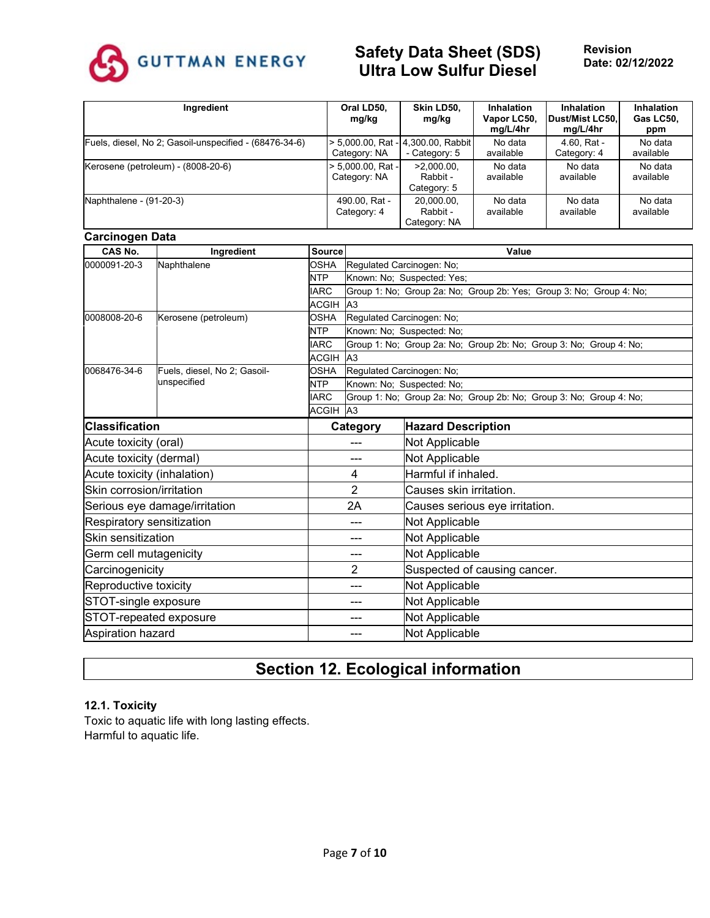

| Ingredient                                             | Oral LD50,<br>mg/kg               | Skin LD50.<br>mg/kg                                 | <b>Inhalation</b><br>Vapor LC50,<br>mg/L/4hr | Inhalation<br>Dust/Mist LC50,<br>mg/L/4hr | <b>Inhalation</b><br>Gas LC50,<br>ppm |
|--------------------------------------------------------|-----------------------------------|-----------------------------------------------------|----------------------------------------------|-------------------------------------------|---------------------------------------|
| Fuels, diesel, No 2; Gasoil-unspecified - (68476-34-6) | Category: NA                      | > 5,000.00, Rat - 4,300.00, Rabbit<br>- Category: 5 | No data<br>available                         | 4.60, Rat -<br>Category: 4                | No data<br>available                  |
| Kerosene (petroleum) - (8008-20-6)                     | > 5,000.00, Rat -<br>Category: NA | $>2.000.00$ .<br>Rabbit -<br>Category: 5            | No data<br>available                         | No data<br>available                      | No data<br>available                  |
| Naphthalene - (91-20-3)                                | 490.00, Rat -<br>Category: 4      | 20,000.00,<br>Rabbit -<br>Category: NA              | No data<br>available                         | No data<br>available                      | No data<br>available                  |

#### **Carcinogen Data**

| <sub></sub><br><b>CAS No.</b> | Ingredient                    | <b>Source</b> | Value                     |                                                                     |  |  |
|-------------------------------|-------------------------------|---------------|---------------------------|---------------------------------------------------------------------|--|--|
| 0000091-20-3<br>Naphthalene   |                               | <b>OSHA</b>   | Regulated Carcinogen: No; |                                                                     |  |  |
|                               |                               | <b>NTP</b>    |                           | Known: No: Suspected: Yes:                                          |  |  |
|                               |                               | <b>IARC</b>   |                           | Group 1: No; Group 2a: No; Group 2b: Yes; Group 3: No; Group 4: No; |  |  |
|                               |                               | <b>ACGIH</b>  | A <sub>3</sub>            |                                                                     |  |  |
| 0008008-20-6                  | Kerosene (petroleum)          | <b>OSHA</b>   |                           | Regulated Carcinogen: No;                                           |  |  |
|                               |                               | <b>NTP</b>    |                           | Known: No; Suspected: No;                                           |  |  |
|                               |                               | <b>IARC</b>   |                           | Group 1: No; Group 2a: No; Group 2b: No; Group 3: No; Group 4: No;  |  |  |
|                               |                               | <b>ACGIH</b>  | A <sub>3</sub>            |                                                                     |  |  |
| 0068476-34-6                  | Fuels, diesel, No 2; Gasoil-  | <b>OSHA</b>   |                           | Regulated Carcinogen: No;                                           |  |  |
|                               | unspecified                   | <b>NTP</b>    |                           | Known: No; Suspected: No;                                           |  |  |
|                               |                               | <b>IARC</b>   |                           | Group 1: No; Group 2a: No; Group 2b: No; Group 3: No; Group 4: No;  |  |  |
|                               |                               | ACGIH A3      |                           |                                                                     |  |  |
| <b>Classification</b>         |                               |               | Category                  | <b>Hazard Description</b>                                           |  |  |
| Acute toxicity (oral)         |                               |               |                           | Not Applicable                                                      |  |  |
| Acute toxicity (dermal)       |                               |               | ---                       | Not Applicable                                                      |  |  |
| Acute toxicity (inhalation)   |                               |               | 4                         | Harmful if inhaled.                                                 |  |  |
| Skin corrosion/irritation     |                               |               | $\overline{2}$            | Causes skin irritation.                                             |  |  |
|                               | Serious eye damage/irritation |               | 2A                        | Causes serious eye irritation.                                      |  |  |
| Respiratory sensitization     |                               |               | ---                       | Not Applicable                                                      |  |  |
| Skin sensitization            |                               |               | ---                       | Not Applicable                                                      |  |  |
| Germ cell mutagenicity        |                               |               | ---                       | Not Applicable                                                      |  |  |
| Carcinogenicity               |                               |               | $\overline{2}$            | Suspected of causing cancer.                                        |  |  |
| Reproductive toxicity         |                               |               | ---                       | Not Applicable                                                      |  |  |
| STOT-single exposure<br>---   |                               |               | Not Applicable            |                                                                     |  |  |
|                               | STOT-repeated exposure        | ---           |                           | Not Applicable                                                      |  |  |
| Aspiration hazard             |                               |               | Not Applicable            |                                                                     |  |  |

# **Section 12. Ecological information**

#### **12.1. Toxicity**

Toxic to aquatic life with long lasting effects. Harmful to aquatic life.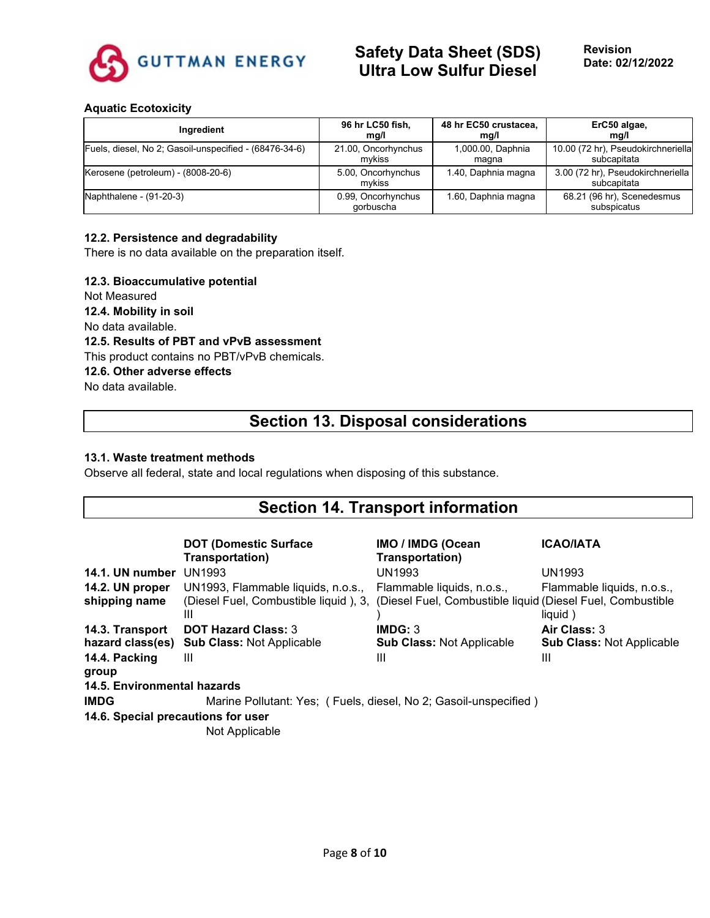

### **Aquatic Ecotoxicity**

| Ingredient                                             | 96 hr LC50 fish,                | 48 hr EC50 crustacea, | ErC50 algae,                                     |
|--------------------------------------------------------|---------------------------------|-----------------------|--------------------------------------------------|
|                                                        | mq/l                            | mq/l                  | mg/l                                             |
| Fuels, diesel, No 2; Gasoil-unspecified - (68476-34-6) | 21.00, Oncorhynchus             | 1,000.00, Daphnia     | 10.00 (72 hr), Pseudokirchneriella               |
|                                                        | mvkiss                          | magna                 | subcapitata                                      |
| Kerosene (petroleum) - (8008-20-6)                     | 5.00, Oncorhynchus<br>mvkiss    | 1.40, Daphnia magna   | 3.00 (72 hr), Pseudokirchneriella<br>subcapitata |
| Naphthalene - (91-20-3)                                | 0.99, Oncorhynchus<br>gorbuscha | 1.60, Daphnia magna   | 68.21 (96 hr), Scenedesmus<br>subspicatus        |

#### **12.2. Persistence and degradability**

There is no data available on the preparation itself.

#### **12.3. Bioaccumulative potential**

Not Measured **12.4. Mobility in soil**

No data available.

**12.5. Results of PBT and vPvB assessment**

This product contains no PBT/vPvB chemicals.

**12.6. Other adverse effects**

No data available.

# **Section 13. Disposal considerations**

#### **13.1. Waste treatment methods**

Observe all federal, state and local regulations when disposing of this substance.

# **Section 14. Transport information**

|                                    | <b>DOT (Domestic Surface)</b><br>Transportation)                 | <b>IMO / IMDG (Ocean</b><br>Transportation)                 | <b>ICAO/IATA</b>                 |
|------------------------------------|------------------------------------------------------------------|-------------------------------------------------------------|----------------------------------|
| 14.1. UN number                    | <b>UN1993</b>                                                    | <b>UN1993</b>                                               | <b>UN1993</b>                    |
| 14.2. UN proper                    | UN1993, Flammable liquids, n.o.s.,                               | Flammable liquids, n.o.s.,                                  | Flammable liquids, n.o.s.,       |
| shipping name                      | (Diesel Fuel, Combustible liquid), 3,<br>Ш                       | (Diesel Fuel, Combustible liquid (Diesel Fuel, Combustible) | liquid)                          |
| 14.3. Transport                    | <b>DOT Hazard Class: 3</b>                                       | IMDG: 3                                                     | Air Class: 3                     |
| hazard class(es)                   | <b>Sub Class: Not Applicable</b>                                 | <b>Sub Class: Not Applicable</b>                            | <b>Sub Class: Not Applicable</b> |
| 14.4. Packing<br>group             | Ш                                                                | $\mathbf{III}$                                              | Ш                                |
| 14.5. Environmental hazards        |                                                                  |                                                             |                                  |
| <b>IMDG</b>                        | Marine Pollutant: Yes; (Fuels, diesel, No 2; Gasoil-unspecified) |                                                             |                                  |
| 14.6. Special precautions for user |                                                                  |                                                             |                                  |
|                                    | Not Applicable                                                   |                                                             |                                  |

Not Applicable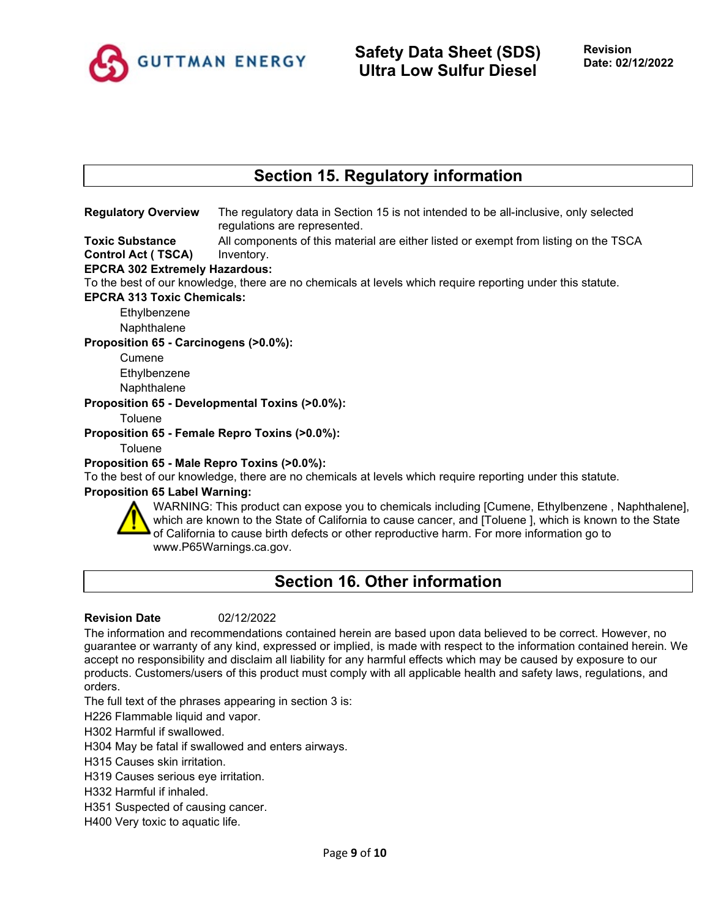

# **Section 15. Regulatory information**

**Regulatory Overview** The regulatory data in Section 15 is not intended to be all-inclusive, only selected regulations are represented.

**Toxic Substance Control Act ( TSCA)** All components of this material are either listed or exempt from listing on the TSCA Inventory.

#### **EPCRA 302 Extremely Hazardous:**

To the best of our knowledge, there are no chemicals at levels which require reporting under this statute.

**EPCRA 313 Toxic Chemicals:**

Ethylbenzene

Naphthalene

**Proposition 65 - Carcinogens (>0.0%):**

Cumene

**Ethylbenzene** 

Naphthalene

**Proposition 65 - Developmental Toxins (>0.0%):**

Toluene

**Proposition 65 - Female Repro Toxins (>0.0%):**

**Toluene** 

#### **Proposition 65 - Male Repro Toxins (>0.0%):**

To the best of our knowledge, there are no chemicals at levels which require reporting under this statute.

#### **Proposition 65 Label Warning:**



WARNING: This product can expose you to chemicals including [Cumene, Ethylbenzene , Naphthalene], which are known to the State of California to cause cancer, and [Toluene ], which is known to the State of California to cause birth defects or other reproductive harm. For more information go to www.P65Warnings.ca.gov.

# **Section 16. Other information**

#### **Revision Date** 02/12/2022

The information and recommendations contained herein are based upon data believed to be correct. However, no guarantee or warranty of any kind, expressed or implied, is made with respect to the information contained herein. We accept no responsibility and disclaim all liability for any harmful effects which may be caused by exposure to our products. Customers/users of this product must comply with all applicable health and safety laws, regulations, and orders.

The full text of the phrases appearing in section 3 is:

H226 Flammable liquid and vapor.

H302 Harmful if swallowed.

H304 May be fatal if swallowed and enters airways.

H315 Causes skin irritation.

H319 Causes serious eye irritation.

H332 Harmful if inhaled.

H351 Suspected of causing cancer.

H400 Very toxic to aquatic life.